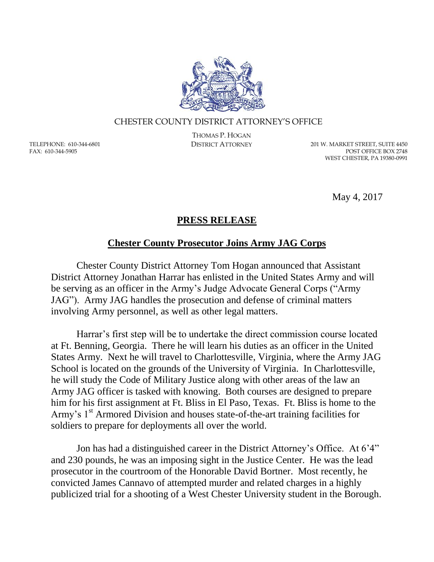

## CHESTER COUNTY DISTRICT ATTORNEY'S OFFICE

TELEPHONE: 610-344-6801 FAX: 610-344-5905

THOMAS P. HOGAN

DISTRICT ATTORNEY 201 W. MARKET STREET, SUITE 4450 POST OFFICE BOX 2748 WEST CHESTER, PA 19380-0991

May 4, 2017

## **PRESS RELEASE**

## **Chester County Prosecutor Joins Army JAG Corps**

Chester County District Attorney Tom Hogan announced that Assistant District Attorney Jonathan Harrar has enlisted in the United States Army and will be serving as an officer in the Army's Judge Advocate General Corps ("Army JAG"). Army JAG handles the prosecution and defense of criminal matters involving Army personnel, as well as other legal matters.

Harrar's first step will be to undertake the direct commission course located at Ft. Benning, Georgia. There he will learn his duties as an officer in the United States Army. Next he will travel to Charlottesville, Virginia, where the Army JAG School is located on the grounds of the University of Virginia. In Charlottesville, he will study the Code of Military Justice along with other areas of the law an Army JAG officer is tasked with knowing. Both courses are designed to prepare him for his first assignment at Ft. Bliss in El Paso, Texas. Ft. Bliss is home to the Army's 1<sup>st</sup> Armored Division and houses state-of-the-art training facilities for soldiers to prepare for deployments all over the world.

Jon has had a distinguished career in the District Attorney's Office. At 6'4" and 230 pounds, he was an imposing sight in the Justice Center. He was the lead prosecutor in the courtroom of the Honorable David Bortner. Most recently, he convicted James Cannavo of attempted murder and related charges in a highly publicized trial for a shooting of a West Chester University student in the Borough.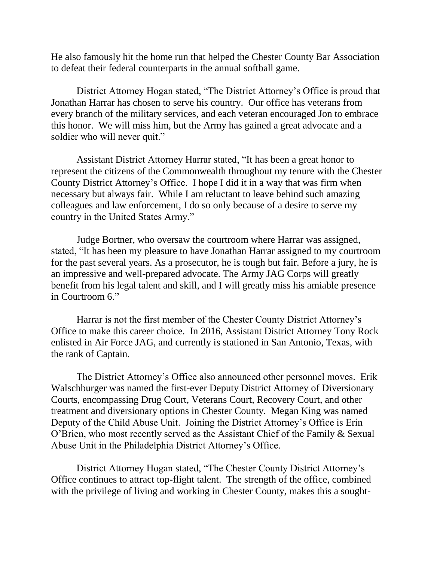He also famously hit the home run that helped the Chester County Bar Association to defeat their federal counterparts in the annual softball game.

District Attorney Hogan stated, "The District Attorney's Office is proud that Jonathan Harrar has chosen to serve his country. Our office has veterans from every branch of the military services, and each veteran encouraged Jon to embrace this honor. We will miss him, but the Army has gained a great advocate and a soldier who will never quit."

Assistant District Attorney Harrar stated, "It has been a great honor to represent the citizens of the Commonwealth throughout my tenure with the Chester County District Attorney's Office. I hope I did it in a way that was firm when necessary but always fair. While I am reluctant to leave behind such amazing colleagues and law enforcement, I do so only because of a desire to serve my country in the United States Army."

Judge Bortner, who oversaw the courtroom where Harrar was assigned, stated, "It has been my pleasure to have Jonathan Harrar assigned to my courtroom for the past several years. As a prosecutor, he is tough but fair. Before a jury, he is an impressive and well-prepared advocate. The Army JAG Corps will greatly benefit from his legal talent and skill, and I will greatly miss his amiable presence in Courtroom 6."

Harrar is not the first member of the Chester County District Attorney's Office to make this career choice. In 2016, Assistant District Attorney Tony Rock enlisted in Air Force JAG, and currently is stationed in San Antonio, Texas, with the rank of Captain.

The District Attorney's Office also announced other personnel moves. Erik Walschburger was named the first-ever Deputy District Attorney of Diversionary Courts, encompassing Drug Court, Veterans Court, Recovery Court, and other treatment and diversionary options in Chester County. Megan King was named Deputy of the Child Abuse Unit. Joining the District Attorney's Office is Erin O'Brien, who most recently served as the Assistant Chief of the Family & Sexual Abuse Unit in the Philadelphia District Attorney's Office.

District Attorney Hogan stated, "The Chester County District Attorney's Office continues to attract top-flight talent. The strength of the office, combined with the privilege of living and working in Chester County, makes this a sought